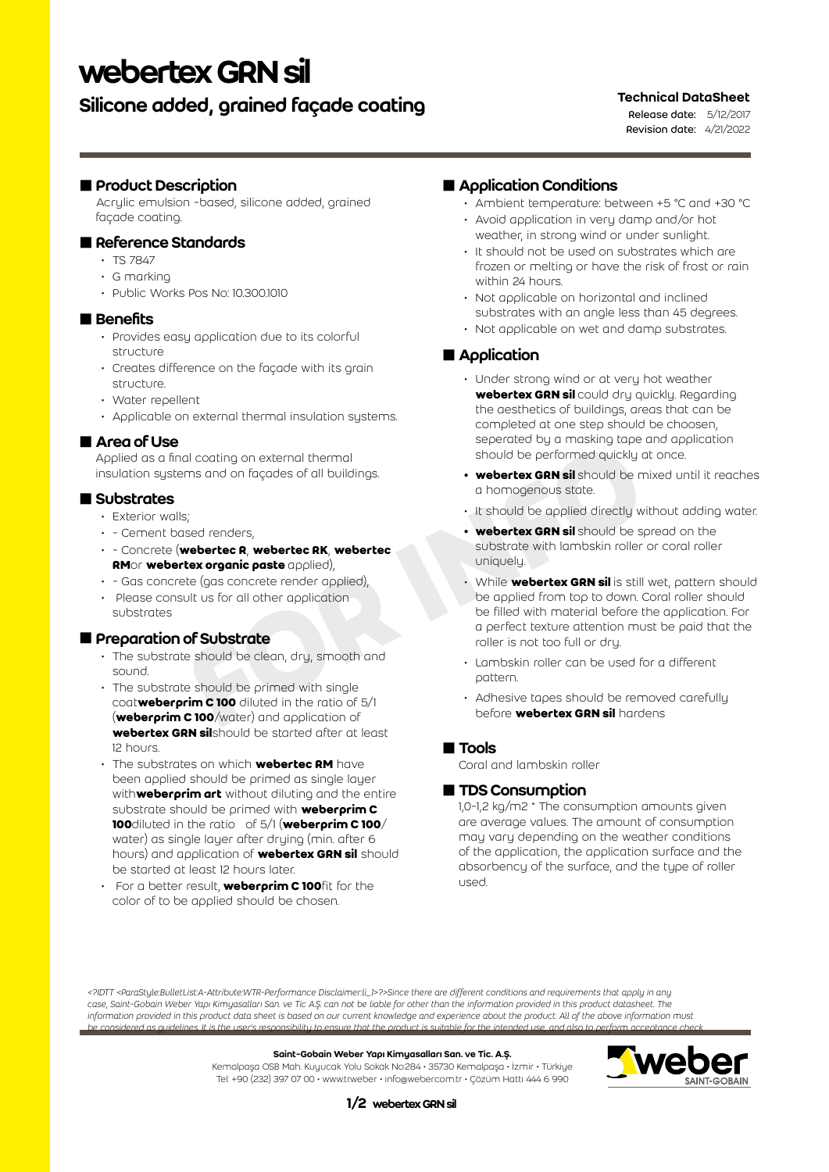# webertex GRN sil

# Silicone added, grained façade coating

### Technical DataSheet

Release date: 5/12/2017 Revision date: 4/21/2022

### **Product Description**

Acrylic emulsion -based, silicone added, grained façade coating.

### Reference Standards

- TS 7847
- G marking
- Public Works Pos No: 10.300.1010

### **Benefits**

- Provides easy application due to its colorful structure
- Creates difference on the façade with its grain structure.
- Water repellent
- Applicable on external thermal insulation systems.

### **Area of Use**

Applied as a final coating on external thermal insulation systems and on façades of all buildings.

### ■ Substrates

- Exterior walls:
- - Cement based renders,
- - Concrete (**webertec R**, **webertec RK**, **webertec RM**or **webertex organic paste** applied),
- - Gas concrete (gas concrete render applied),
- Please consult us for all other application substrates

### **Preparation of Substrate**

- The substrate should be clean, dry, smooth and sound.
- The substrate should be primed with single coat**weberprim C 100** diluted in the ratio of 5/1 (**weberprim C 100**/water) and application of **webertex GRN sil**should be started after at least 12 hours.
- The substrates on which **webertec RM** have been applied should be primed as single layer with**weberprim art** without diluting and the entire substrate should be primed with **weberprim C 100**diluted in the ratio of 5/1 (**weberprim C 100**/ water) as single layer after drying (min. after 6 hours) and application of **webertex GRN sil** should be started at least 12 hours later.
- For a better result, **weberprim C 100**fit for the color of to be applied should be chosen.

### Application Conditions

- Ambient temperature: between +5 °C and +30 °C
- Avoid application in very damp and/or hot weather, in strong wind or under sunlight.
- It should not be used on substrates which are frozen or melting or have the risk of frost or rain within 24 hours.
- Not applicable on horizontal and inclined substrates with an angle less than 45 degrees.
- Not applicable on wet and damp substrates.

# **Application**

- Under strong wind or at very hot weather **webertex GRN sil** could dry quickly. Regarding the aesthetics of buildings, areas that can be completed at one step should be choosen, seperated by a masking tape and application should be performed quickly at once.
- **• webertex GRN sil** should be mixed until it reaches a homogenous state.
- It should be applied directly without adding water.
- **• webertex GRN sil** should be spread on the substrate with lambskin roller or coral roller uniquely.
- Formed increase of all buildings.<br> **FOR IN CONSTAGE SERVING AND SERVING AND SERVING AND SERVING AND SERVING AND SERVING AND SERVING AND SERVING A CONSIDER SERVING A CONSIDER SERVING A CONSIDER SERVING A CONSIDER SERVING A** • While **webertex GRN sil** is still wet, pattern should be applied from top to down. Coral roller should be filled with material before the application. For a perfect texture attention must be paid that the roller is not too full or dry.
	- Lambskin roller can be used for a different pattern.
	- Adhesive tapes should be removed carefully before **webertex GRN sil** hardens

### **Tools**

Coral and lambskin roller

## ■ TDS Consumption

1,0-1,2 kg/m2 \* The consumption amounts given are average values. The amount of consumption may vary depending on the weather conditions of the application, the application surface and the absorbency of the surface, and the type of roller used.

*<?IDTT <ParaStyle:BulletList:A-Attribute:WTR-Performance Disclaimer:li\_1>?>Since there are different conditions and requirements that apply in any case, Saint-Gobain Weber Yapı Kimyasalları San. ve Tic A.Ş. can not be liable for other than the information provided in this product datasheet. The information provided in this product data sheet is based on our current knowledge and experience about the product. All of the above information must be considered as guidelines. It is the user's responsibility to ensure that the product is suitable for the intended use, and also to perform acceptance check* 

#### Saint-Gobain Weber Yapı Kimyasalları San. ve Tic. A.Ş.

Kemalpaşa OSB Mah. Kuyucak Yolu Sokak No:284 • 35730 Kemalpaşa • İzmir • Türkiye Tel: +90 (232) 397 07 00 • www.tr.weber • info@weber.com.tr • Çözüm Hattı 444 6 990